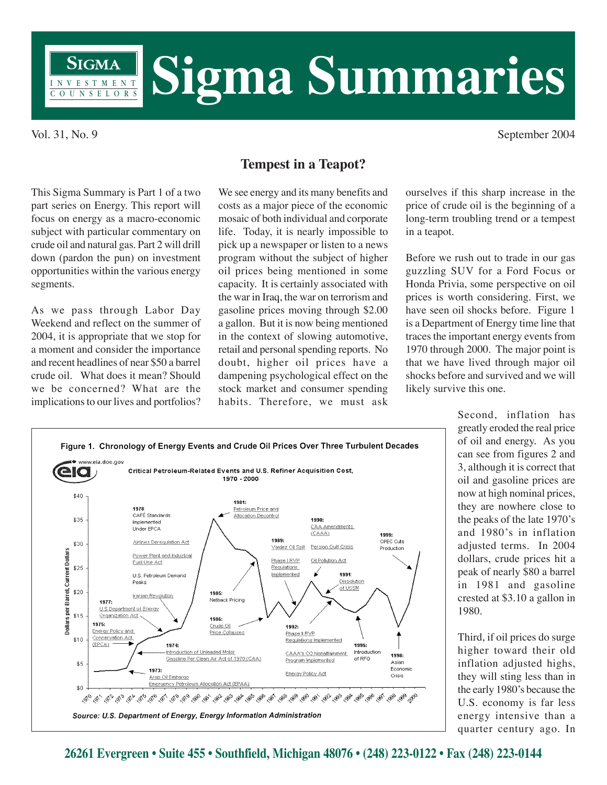

Vol. 31, No. 9 September 2004

This Sigma Summary is Part 1 of a two part series on Energy. This report will focus on energy as a macro-economic subject with particular commentary on crude oil and natural gas. Part 2 will drill down (pardon the pun) on investment opportunities within the various energy segments.

As we pass through Labor Day Weekend and reflect on the summer of 2004, it is appropriate that we stop for a moment and consider the importance and recent headlines of near \$50 a barrel crude oil. What does it mean? Should we be concerned? What are the implications to our lives and portfolios?

## **Tempest in a Teapot?**

We see energy and its many benefits and costs as a major piece of the economic mosaic of both individual and corporate life. Today, it is nearly impossible to pick up a newspaper or listen to a news program without the subject of higher oil prices being mentioned in some capacity. It is certainly associated with the war in Iraq, the war on terrorism and gasoline prices moving through \$2.00 a gallon. But it is now being mentioned in the context of slowing automotive, retail and personal spending reports. No doubt, higher oil prices have a dampening psychological effect on the stock market and consumer spending habits. Therefore, we must ask

ourselves if this sharp increase in the price of crude oil is the beginning of a long-term troubling trend or a tempest in a teapot.

Before we rush out to trade in our gas guzzling SUV for a Ford Focus or Honda Privia, some perspective on oil prices is worth considering. First, we have seen oil shocks before. Figure 1 is a Department of Energy time line that traces the important energy events from 1970 through 2000. The major point is that we have lived through major oil shocks before and survived and we will likely survive this one.



Source: U.S. Department of Energy, Energy Information Administration

Second, inflation has greatly eroded the real price of oil and energy. As you can see from figures 2 and 3, although it is correct that oil and gasoline prices are now at high nominal prices, they are nowhere close to the peaks of the late 1970's and 1980's in inflation adjusted terms. In 2004 dollars, crude prices hit a peak of nearly \$80 a barrel in 1981 and gasoline crested at \$3.10 a gallon in 1980.

Third, if oil prices do surge higher toward their old inflation adjusted highs, they will sting less than in the early 1980's because the U.S. economy is far less energy intensive than a quarter century ago. In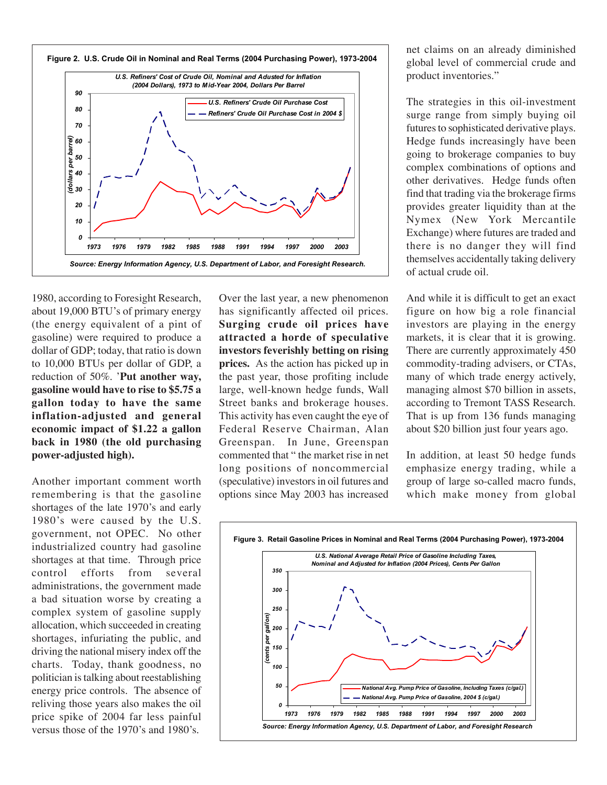

1980, according to Foresight Research, about 19,000 BTU's of primary energy (the energy equivalent of a pint of gasoline) were required to produce a dollar of GDP; today, that ratio is down to 10,000 BTUs per dollar of GDP, a reduction of 50%. '**Put another way, gasoline would have to rise to \$5.75 a gallon today to have the same inflation-adjusted and general economic impact of \$1.22 a gallon back in 1980 (the old purchasing power-adjusted high).**

Another important comment worth remembering is that the gasoline shortages of the late 1970's and early 1980's were caused by the U.S. government, not OPEC. No other industrialized country had gasoline shortages at that time. Through price control efforts from several administrations, the government made a bad situation worse by creating a complex system of gasoline supply allocation, which succeeded in creating shortages, infuriating the public, and driving the national misery index off the charts. Today, thank goodness, no politician is talking about reestablishing energy price controls. The absence of reliving those years also makes the oil price spike of 2004 far less painful versus those of the 1970's and 1980's.

Over the last year, a new phenomenon has significantly affected oil prices. **Surging crude oil prices have attracted a horde of speculative investors feverishly betting on rising prices.** As the action has picked up in the past year, those profiting include large, well-known hedge funds, Wall Street banks and brokerage houses. This activity has even caught the eye of Federal Reserve Chairman, Alan Greenspan. In June, Greenspan commented that " the market rise in net long positions of noncommercial (speculative) investors in oil futures and options since May 2003 has increased

net claims on an already diminished global level of commercial crude and product inventories."

The strategies in this oil-investment surge range from simply buying oil futures to sophisticated derivative plays. Hedge funds increasingly have been going to brokerage companies to buy complex combinations of options and other derivatives. Hedge funds often find that trading via the brokerage firms provides greater liquidity than at the Nymex (New York Mercantile Exchange) where futures are traded and there is no danger they will find themselves accidentally taking delivery of actual crude oil.

And while it is difficult to get an exact figure on how big a role financial investors are playing in the energy markets, it is clear that it is growing. There are currently approximately 450 commodity-trading advisers, or CTAs, many of which trade energy actively, managing almost \$70 billion in assets, according to Tremont TASS Research. That is up from 136 funds managing about \$20 billion just four years ago.

In addition, at least 50 hedge funds emphasize energy trading, while a group of large so-called macro funds, which make money from global

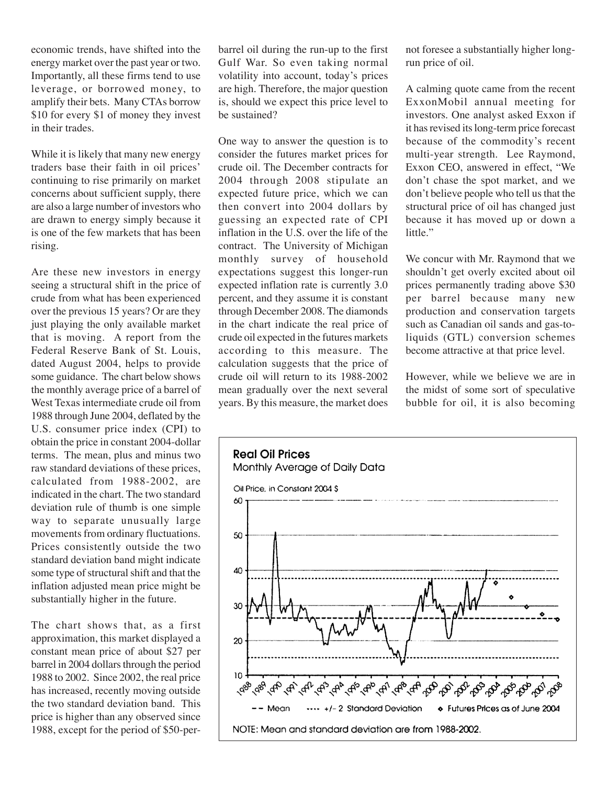economic trends, have shifted into the energy market over the past year or two. Importantly, all these firms tend to use leverage, or borrowed money, to amplify their bets. Many CTAs borrow \$10 for every \$1 of money they invest in their trades.

While it is likely that many new energy traders base their faith in oil prices' continuing to rise primarily on market concerns about sufficient supply, there are also a large number of investors who are drawn to energy simply because it is one of the few markets that has been rising.

Are these new investors in energy seeing a structural shift in the price of crude from what has been experienced over the previous 15 years? Or are they just playing the only available market that is moving. A report from the Federal Reserve Bank of St. Louis, dated August 2004, helps to provide some guidance. The chart below shows the monthly average price of a barrel of West Texas intermediate crude oil from 1988 through June 2004, deflated by the U.S. consumer price index (CPI) to obtain the price in constant 2004-dollar terms. The mean, plus and minus two raw standard deviations of these prices, calculated from 1988-2002, are indicated in the chart. The two standard deviation rule of thumb is one simple way to separate unusually large movements from ordinary fluctuations. Prices consistently outside the two standard deviation band might indicate some type of structural shift and that the inflation adjusted mean price might be substantially higher in the future.

The chart shows that, as a first approximation, this market displayed a constant mean price of about \$27 per barrel in 2004 dollars through the period 1988 to 2002. Since 2002, the real price has increased, recently moving outside the two standard deviation band. This price is higher than any observed since 1988, except for the period of \$50-per-

barrel oil during the run-up to the first Gulf War. So even taking normal volatility into account, today's prices are high. Therefore, the major question is, should we expect this price level to be sustained?

One way to answer the question is to consider the futures market prices for crude oil. The December contracts for 2004 through 2008 stipulate an expected future price, which we can then convert into 2004 dollars by guessing an expected rate of CPI inflation in the U.S. over the life of the contract. The University of Michigan monthly survey of household expectations suggest this longer-run expected inflation rate is currently 3.0 percent, and they assume it is constant through December 2008. The diamonds in the chart indicate the real price of crude oil expected in the futures markets according to this measure. The calculation suggests that the price of crude oil will return to its 1988-2002 mean gradually over the next several years. By this measure, the market does

not foresee a substantially higher longrun price of oil.

A calming quote came from the recent ExxonMobil annual meeting for investors. One analyst asked Exxon if it has revised its long-term price forecast because of the commodity's recent multi-year strength. Lee Raymond, Exxon CEO, answered in effect, "We don't chase the spot market, and we don't believe people who tell us that the structural price of oil has changed just because it has moved up or down a little."

We concur with Mr. Raymond that we shouldn't get overly excited about oil prices permanently trading above \$30 per barrel because many new production and conservation targets such as Canadian oil sands and gas-toliquids (GTL) conversion schemes become attractive at that price level.

However, while we believe we are in the midst of some sort of speculative bubble for oil, it is also becoming